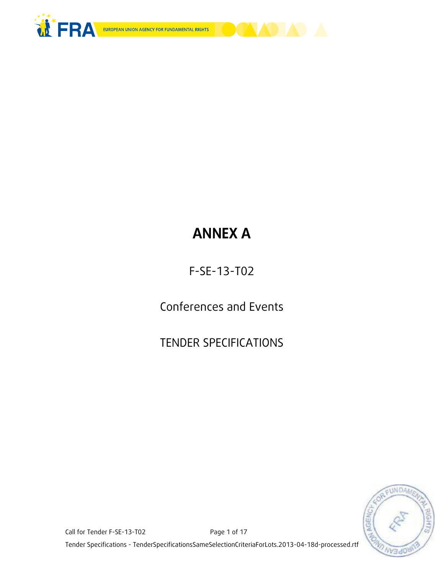



# **ANNEX A**

F-SE-13-T02

Conferences and Events

TENDER SPECIFICATIONS



Call for Tender F-SE-13-T02 Page 1 of 17 Tender Specifications - TenderSpecificationsSameSelectionCriteriaForLots.2013-04-18d-processed.rtf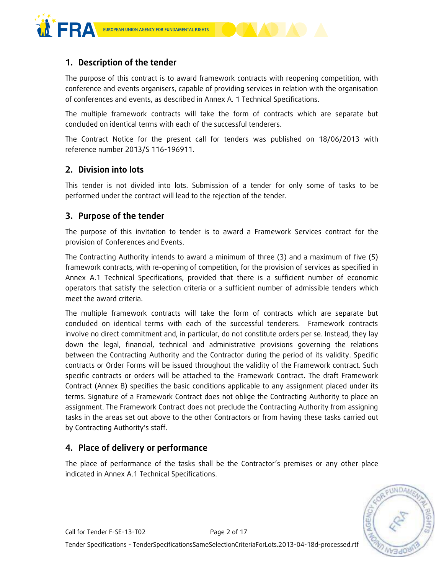



The purpose of this contract is to award framework contracts with reopening competition, with conference and events organisers, capable of providing services in relation with the organisation of conferences and events, as described in Annex A. 1 Technical Specifications.

The multiple framework contracts will take the form of contracts which are separate but concluded on identical terms with each of the successful tenderers.

The Contract Notice for the present call for tenders was published on 18/06/2013 with reference number 2013/S 116-196911.

## **2. Division into lots**

This tender is not divided into lots. Submission of a tender for only some of tasks to be performed under the contract will lead to the rejection of the tender.

## **3. Purpose of the tender**

The purpose of this invitation to tender is to award a Framework Services contract for the provision of Conferences and Events.

The Contracting Authority intends to award a minimum of three (3) and a maximum of five (5) framework contracts, with re-opening of competition, for the provision of services as specified in Annex A.1 Technical Specifications, provided that there is a sufficient number of economic operators that satisfy the selection criteria or a sufficient number of admissible tenders which meet the award criteria.

The multiple framework contracts will take the form of contracts which are separate but concluded on identical terms with each of the successful tenderers. Framework contracts involve no direct commitment and, in particular, do not constitute orders per se. Instead, they lay down the legal, financial, technical and administrative provisions governing the relations between the Contracting Authority and the Contractor during the period of its validity. Specific contracts or Order Forms will be issued throughout the validity of the Framework contract. Such specific contracts or orders will be attached to the Framework Contract. The draft Framework Contract (Annex B) specifies the basic conditions applicable to any assignment placed under its terms. Signature of a Framework Contract does not oblige the Contracting Authority to place an assignment. The Framework Contract does not preclude the Contracting Authority from assigning tasks in the areas set out above to the other Contractors or from having these tasks carried out by Contracting Authority's staff.

## **4. Place of delivery or performance**

The place of performance of the tasks shall be the Contractor's premises or any other place indicated in Annex A.1 Technical Specifications.

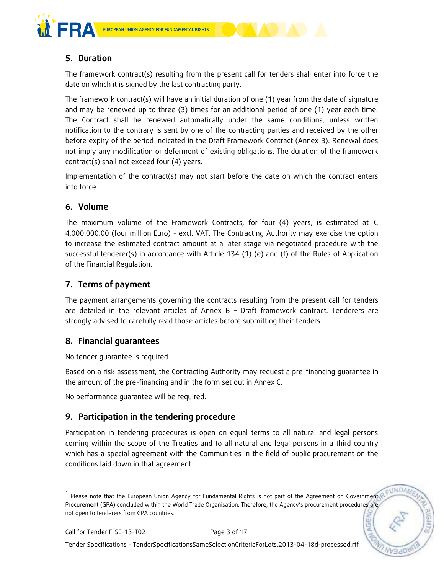



The framework contract(s) resulting from the present call for tenders shall enter into force the date on which it is signed by the last contracting party.

The framework contract(s) will have an initial duration of one (1) year from the date of signature and may be renewed up to three (3) times for an additional period of one (1) year each time. The Contract shall be renewed automatically under the same conditions, unless written notification to the contrary is sent by one of the contracting parties and received by the other before expiry of the period indicated in the Draft Framework Contract (Annex B). Renewal does not imply any modification or deferment of existing obligations. The duration of the framework contract(s) shall not exceed four (4) years.

Implementation of the contract(s) may not start before the date on which the contract enters into force.

# **6. Volume**

The maximum volume of the Framework Contracts, for four (4) years, is estimated at  $\epsilon$ 4,000.000.00 (four million Euro) - excl. VAT. The Contracting Authority may exercise the option to increase the estimated contract amount at a later stage via negotiated procedure with the successful tenderer(s) in accordance with Article 134 (1) (e) and (f) of the Rules of Application of the Financial Regulation.

# **7. Terms of payment**

The payment arrangements governing the contracts resulting from the present call for tenders are detailed in the relevant articles of Annex B – Draft framework contract. Tenderers are strongly advised to carefully read those articles before submitting their tenders.

## **8. Financial guarantees**

No tender guarantee is required.

Based on a risk assessment, the Contracting Authority may request a pre-financing guarantee in the amount of the pre-financing and in the form set out in Annex C.

No performance guarantee will be required.

# **9. Participation in the tendering procedure**

Participation in tendering procedures is open on equal terms to all natural and legal persons coming within the scope of the Treaties and to all natural and legal persons in a third country which has a special agreement with the Communities in the field of public procurement on the conditions laid down in that agreement<sup>1</sup>.

-

<sup>&</sup>lt;sup>1</sup> Please note that the European Union Agency for Fundamental Rights is not part of the Agreement on Government Procurement (GPA) concluded within the World Trade Organisation. Therefore, the Agency's procurement procedures are not open to tenderers from GPA countries.**NGE**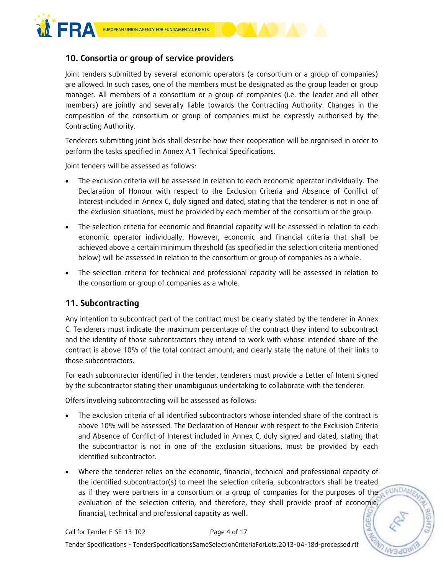

# **10. Consortia or group of service providers**

Joint tenders submitted by several economic operators (a consortium or a group of companies) are allowed. In such cases, one of the members must be designated as the group leader or group manager. All members of a consortium or a group of companies (i.e. the leader and all other members) are jointly and severally liable towards the Contracting Authority. Changes in the composition of the consortium or group of companies must be expressly authorised by the Contracting Authority.

Tenderers submitting joint bids shall describe how their cooperation will be organised in order to perform the tasks specified in Annex A.1 Technical Specifications.

Joint tenders will be assessed as follows:

- The exclusion criteria will be assessed in relation to each economic operator individually. The Declaration of Honour with respect to the Exclusion Criteria and Absence of Conflict of Interest included in Annex C, duly signed and dated, stating that the tenderer is not in one of the exclusion situations, must be provided by each member of the consortium or the group.
- The selection criteria for economic and financial capacity will be assessed in relation to each economic operator individually. However, economic and financial criteria that shall be achieved above a certain minimum threshold (as specified in the selection criteria mentioned below) will be assessed in relation to the consortium or group of companies as a whole.
- The selection criteria for technical and professional capacity will be assessed in relation to the consortium or group of companies as a whole.

## **11. Subcontracting**

Any intention to subcontract part of the contract must be clearly stated by the tenderer in Annex C. Tenderers must indicate the maximum percentage of the contract they intend to subcontract and the identity of those subcontractors they intend to work with whose intended share of the contract is above 10% of the total contract amount, and clearly state the nature of their links to those subcontractors.

For each subcontractor identified in the tender, tenderers must provide a Letter of Intent signed by the subcontractor stating their unambiguous undertaking to collaborate with the tenderer.

Offers involving subcontracting will be assessed as follows:

- The exclusion criteria of all identified subcontractors whose intended share of the contract is above 10% will be assessed. The Declaration of Honour with respect to the Exclusion Criteria and Absence of Conflict of Interest included in Annex C, duly signed and dated, stating that the subcontractor is not in one of the exclusion situations, must be provided by each identified subcontractor.
- Where the tenderer relies on the economic, financial, technical and professional capacity of the identified subcontractor(s) to meet the selection criteria, subcontractors shall be treated as if they were partners in a consortium or a group of companies for the purposes of the *pundam* evaluation of the selection criteria, and therefore, they shall provide proof of economic, financial, technical and professional capacity as well. **AGE**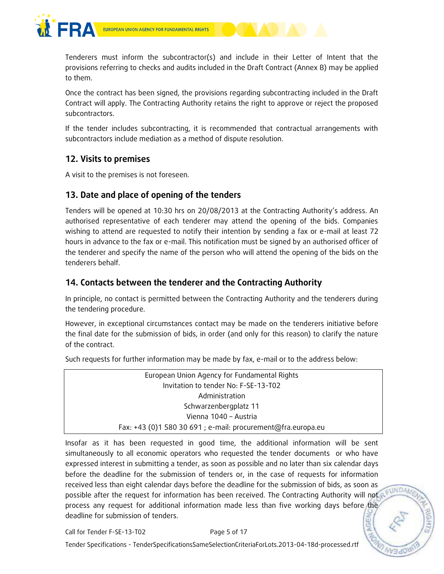

Tenderers must inform the subcontractor(s) and include in their Letter of Intent that the provisions referring to checks and audits included in the Draft Contract (Annex B) may be applied to them.

Once the contract has been signed, the provisions regarding subcontracting included in the Draft Contract will apply. The Contracting Authority retains the right to approve or reject the proposed subcontractors.

If the tender includes subcontracting, it is recommended that contractual arrangements with subcontractors include mediation as a method of dispute resolution.

## **12. Visits to premises**

A visit to the premises is not foreseen.

## **13. Date and place of opening of the tenders**

Tenders will be opened at 10:30 hrs on 20/08/2013 at the Contracting Authority's address. An authorised representative of each tenderer may attend the opening of the bids. Companies wishing to attend are requested to notify their intention by sending a fax or e-mail at least 72 hours in advance to the fax or e-mail. This notification must be signed by an authorised officer of the tenderer and specify the name of the person who will attend the opening of the bids on the tenderers behalf.

# **14. Contacts between the tenderer and the Contracting Authority**

In principle, no contact is permitted between the Contracting Authority and the tenderers during the tendering procedure.

However, in exceptional circumstances contact may be made on the tenderers initiative before the final date for the submission of bids, in order (and only for this reason) to clarify the nature of the contract.

Such requests for further information may be made by fax, e-mail or to the address below:

Insofar as it has been requested in good time, the additional information will be sent simultaneously to all economic operators who requested the tender documents or who have expressed interest in submitting a tender, as soon as possible and no later than six calendar days before the deadline for the submission of tenders or, in the case of requests for information received less than eight calendar days before the deadline for the submission of bids, as soon as possible after the request for information has been received. The Contracting Authority will not process any request for additional information made less than five working days before the deadline for submission of tenders. **AGE** 

Call for Tender F-SE-13-T02 Page 5 of 17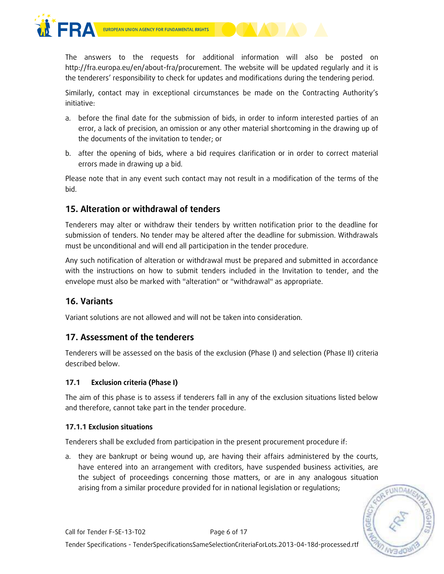

The answers to the requests for additional information will also be posted on http://fra.europa.eu/en/about-fra/procurement. The website will be updated regularly and it is the tenderers' responsibility to check for updates and modifications during the tendering period.

Similarly, contact may in exceptional circumstances be made on the Contracting Authority's initiative:

- a. before the final date for the submission of bids, in order to inform interested parties of an error, a lack of precision, an omission or any other material shortcoming in the drawing up of the documents of the invitation to tender; or
- b. after the opening of bids, where a bid requires clarification or in order to correct material errors made in drawing up a bid.

Please note that in any event such contact may not result in a modification of the terms of the bid.

# **15. Alteration or withdrawal of tenders**

Tenderers may alter or withdraw their tenders by written notification prior to the deadline for submission of tenders. No tender may be altered after the deadline for submission. Withdrawals must be unconditional and will end all participation in the tender procedure.

Any such notification of alteration or withdrawal must be prepared and submitted in accordance with the instructions on how to submit tenders included in the Invitation to tender, and the envelope must also be marked with "alteration" or "withdrawal" as appropriate.

## **16. Variants**

Variant solutions are not allowed and will not be taken into consideration.

## **17. Assessment of the tenderers**

Tenderers will be assessed on the basis of the exclusion (Phase I) and selection (Phase II) criteria described below.

## **17.1 Exclusion criteria (Phase I)**

The aim of this phase is to assess if tenderers fall in any of the exclusion situations listed below and therefore, cannot take part in the tender procedure.

## **17.1.1 Exclusion situations**

Tenderers shall be excluded from participation in the present procurement procedure if:

a. they are bankrupt or being wound up, are having their affairs administered by the courts, have entered into an arrangement with creditors, have suspended business activities, are the subject of proceedings concerning those matters, or are in any analogous situation arising from a similar procedure provided for in national legislation or regulations;

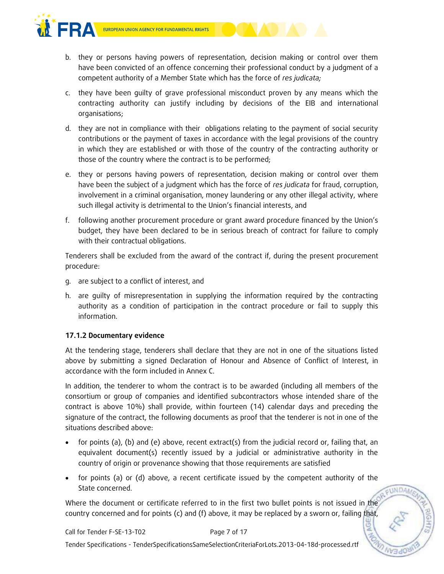

- b. they or persons having powers of representation, decision making or control over them have been convicted of an offence concerning their professional conduct by a judgment of a competent authority of a Member State which has the force of *res judicata;*
- c. they have been guilty of grave professional misconduct proven by any means which the contracting authority can justify including by decisions of the EIB and international organisations;
- d. they are not in compliance with their obligations relating to the payment of social security contributions or the payment of taxes in accordance with the legal provisions of the country in which they are established or with those of the country of the contracting authority or those of the country where the contract is to be performed;
- e. they or persons having powers of representation, decision making or control over them have been the subject of a judgment which has the force of *res judicata* for fraud, corruption, involvement in a criminal organisation, money laundering or any other illegal activity, where such illegal activity is detrimental to the Union's financial interests, and
- f. following another procurement procedure or grant award procedure financed by the Union's budget, they have been declared to be in serious breach of contract for failure to comply with their contractual obligations.

Tenderers shall be excluded from the award of the contract if, during the present procurement procedure:

- g. are subject to a conflict of interest, and
- h. are guilty of misrepresentation in supplying the information required by the contracting authority as a condition of participation in the contract procedure or fail to supply this information.

## **17.1.2 Documentary evidence**

At the tendering stage, tenderers shall declare that they are not in one of the situations listed above by submitting a signed Declaration of Honour and Absence of Conflict of Interest, in accordance with the form included in Annex C.

In addition, the tenderer to whom the contract is to be awarded (including all members of the consortium or group of companies and identified subcontractors whose intended share of the contract is above 10%) shall provide, within fourteen (14) calendar days and preceding the signature of the contract, the following documents as proof that the tenderer is not in one of the situations described above:

- for points (a), (b) and (e) above, recent extract(s) from the judicial record or, failing that, an equivalent document(s) recently issued by a judicial or administrative authority in the country of origin or provenance showing that those requirements are satisfied
- for points (a) or (d) above, a recent certificate issued by the competent authority of the State concerned.

EUNDAM

Where the document or certificate referred to in the first two bullet points is not issued in the country concerned and for points (c) and (f) above, it may be replaced by a sworn or, failing that,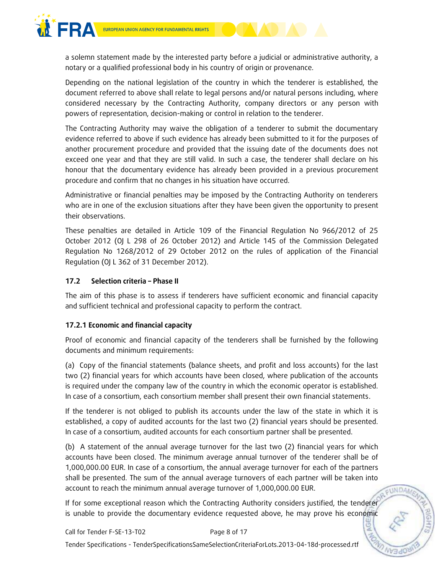

a solemn statement made by the interested party before a judicial or administrative authority, a notary or a qualified professional body in his country of origin or provenance.

Depending on the national legislation of the country in which the tenderer is established, the document referred to above shall relate to legal persons and/or natural persons including, where considered necessary by the Contracting Authority, company directors or any person with powers of representation, decision-making or control in relation to the tenderer.

The Contracting Authority may waive the obligation of a tenderer to submit the documentary evidence referred to above if such evidence has already been submitted to it for the purposes of another procurement procedure and provided that the issuing date of the documents does not exceed one year and that they are still valid. In such a case, the tenderer shall declare on his honour that the documentary evidence has already been provided in a previous procurement procedure and confirm that no changes in his situation have occurred.

Administrative or financial penalties may be imposed by the Contracting Authority on tenderers who are in one of the exclusion situations after they have been given the opportunity to present their observations.

These penalties are detailed in Article 109 of the Financial Regulation No 966/2012 of 25 October 2012 (OJ L 298 of 26 October 2012) and Article 145 of the Commission Delegated Regulation No 1268/2012 of 29 October 2012 on the rules of application of the Financial Regulation (OJ L 362 of 31 December 2012).

## **17.2 Selection criteria – Phase II**

The aim of this phase is to assess if tenderers have sufficient economic and financial capacity and sufficient technical and professional capacity to perform the contract.

## **17.2.1 Economic and financial capacity**

Proof of economic and financial capacity of the tenderers shall be furnished by the following documents and minimum requirements:

(a) Copy of the financial statements (balance sheets, and profit and loss accounts) for the last two (2) financial years for which accounts have been closed, where publication of the accounts is required under the company law of the country in which the economic operator is established. In case of a consortium, each consortium member shall present their own financial statements.

If the tenderer is not obliged to publish its accounts under the law of the state in which it is established, a copy of audited accounts for the last two (2) financial years should be presented. In case of a consortium, audited accounts for each consortium partner shall be presented.

(b) A statement of the annual average turnover for the last two (2) financial years for which accounts have been closed. The minimum average annual turnover of the tenderer shall be of 1,000,000.00 EUR. In case of a consortium, the annual average turnover for each of the partners shall be presented. The sum of the annual average turnovers of each partner will be taken into account to reach the minimum annual average turnover of 1,000,000.00 EUR.

**FUNDAM** 

If for some exceptional reason which the Contracting Authority considers justified, the tenderer is unable to provide the documentary evidence requested above, he may prove his economic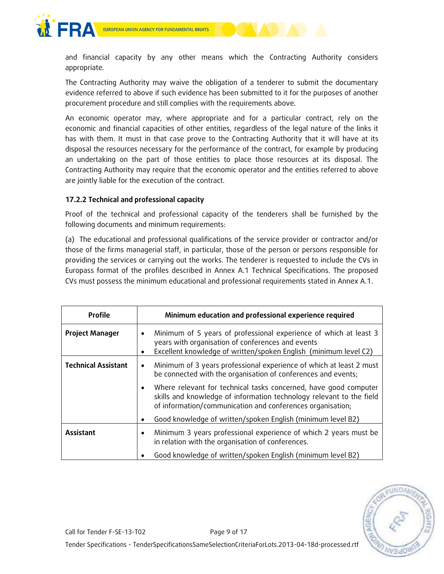



and financial capacity by any other means which the Contracting Authority considers appropriate.

The Contracting Authority may waive the obligation of a tenderer to submit the documentary evidence referred to above if such evidence has been submitted to it for the purposes of another procurement procedure and still complies with the requirements above.

An economic operator may, where appropriate and for a particular contract, rely on the economic and financial capacities of other entities, regardless of the legal nature of the links it has with them. It must in that case prove to the Contracting Authority that it will have at its disposal the resources necessary for the performance of the contract, for example by producing an undertaking on the part of those entities to place those resources at its disposal. The Contracting Authority may require that the economic operator and the entities referred to above are jointly liable for the execution of the contract.

## **17.2.2 Technical and professional capacity**

Proof of the technical and professional capacity of the tenderers shall be furnished by the following documents and minimum requirements:

(a) The educational and professional qualifications of the service provider or contractor and/or those of the firms managerial staff, in particular, those of the person or persons responsible for providing the services or carrying out the works. The tenderer is requested to include the CVs in Europass format of the profiles described in Annex A.1 Technical Specifications. The proposed CVs must possess the minimum educational and professional requirements stated in Annex A.1.

| <b>Profile</b>             | Minimum education and professional experience required                                                                                                                                                  |
|----------------------------|---------------------------------------------------------------------------------------------------------------------------------------------------------------------------------------------------------|
| <b>Project Manager</b>     | Minimum of 5 years of professional experience of which at least 3<br>$\bullet$<br>years with organisation of conferences and events<br>Excellent knowledge of written/spoken English (minimum level C2) |
| <b>Technical Assistant</b> | Minimum of 3 years professional experience of which at least 2 must<br>٠<br>be connected with the organisation of conferences and events;                                                               |
|                            | Where relevant for technical tasks concerned, have good computer<br>skills and knowledge of information technology relevant to the field<br>of information/communication and conferences organisation;  |
|                            | Good knowledge of written/spoken English (minimum level B2)                                                                                                                                             |
| Assistant                  | Minimum 3 years professional experience of which 2 years must be<br>٠<br>in relation with the organisation of conferences.                                                                              |
|                            | Good knowledge of written/spoken English (minimum level B2)                                                                                                                                             |

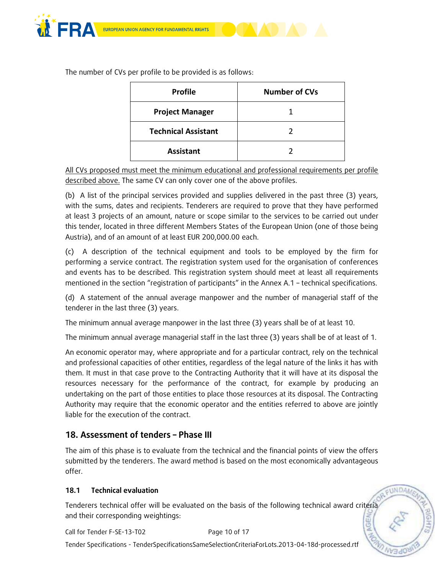

The number of CVs per profile to be provided is as follows:

| <b>Profile</b>             | <b>Number of CVs</b> |
|----------------------------|----------------------|
| <b>Project Manager</b>     |                      |
| <b>Technical Assistant</b> |                      |
| <b>Assistant</b>           |                      |

All CVs proposed must meet the minimum educational and professional requirements per profile described above. The same CV can only cover one of the above profiles.

(b) A list of the principal services provided and supplies delivered in the past three (3) years, with the sums, dates and recipients. Tenderers are required to prove that they have performed at least 3 projects of an amount, nature or scope similar to the services to be carried out under this tender, located in three different Members States of the European Union (one of those being Austria), and of an amount of at least EUR 200,000.00 each.

(c) A description of the technical equipment and tools to be employed by the firm for performing a service contract. The registration system used for the organisation of conferences and events has to be described. This registration system should meet at least all requirements mentioned in the section "registration of participants" in the Annex A.1 – technical specifications.

(d) A statement of the annual average manpower and the number of managerial staff of the tenderer in the last three (3) years.

The minimum annual average manpower in the last three (3) years shall be of at least 10.

The minimum annual average managerial staff in the last three (3) years shall be of at least of 1.

An economic operator may, where appropriate and for a particular contract, rely on the technical and professional capacities of other entities, regardless of the legal nature of the links it has with them. It must in that case prove to the Contracting Authority that it will have at its disposal the resources necessary for the performance of the contract, for example by producing an undertaking on the part of those entities to place those resources at its disposal. The Contracting Authority may require that the economic operator and the entities referred to above are jointly liable for the execution of the contract.

## **18. Assessment of tenders – Phase III**

The aim of this phase is to evaluate from the technical and the financial points of view the offers submitted by the tenderers. The award method is based on the most economically advantageous offer.

## **18.1 Technical evaluation**

Tenderers technical offer will be evaluated on the basis of the following technical award criteria and their corresponding weightings:

Call for Tender F-SE-13-T02 Page 10 of 17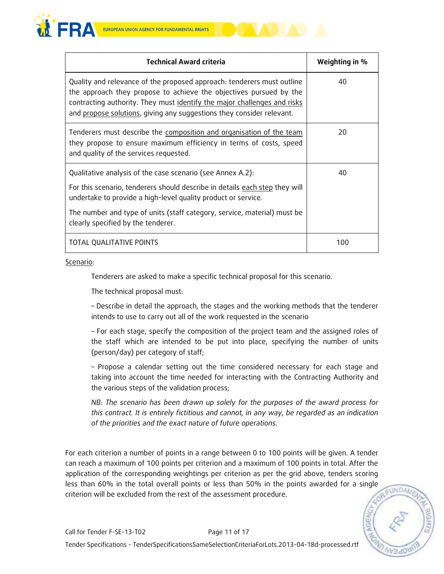

| <b>Technical Award criteria</b>                                                                                                                                                                                                                                                                                              | Weighting in % |
|------------------------------------------------------------------------------------------------------------------------------------------------------------------------------------------------------------------------------------------------------------------------------------------------------------------------------|----------------|
| Quality and relevance of the proposed approach: tenderers must outline<br>the approach they propose to achieve the objectives pursued by the<br>contracting authority. They must identify the major challenges and risks<br>and propose solutions, giving any suggestions they consider relevant.                            | 40             |
| Tenderers must describe the composition and organisation of the team<br>they propose to ensure maximum efficiency in terms of costs, speed<br>and quality of the services requested.                                                                                                                                         | 20             |
| Qualitative analysis of the case scenario (see Annex A.2):<br>For this scenario, tenderers should describe in details each step they will<br>undertake to provide a high-level quality product or service.<br>The number and type of units (staff category, service, material) must be<br>clearly specified by the tenderer. | 40             |
| TOTAL QUALITATIVE POINTS                                                                                                                                                                                                                                                                                                     | 100            |

Scenario:

Tenderers are asked to make a specific technical proposal for this scenario.

The technical proposal must:

– Describe in detail the approach, the stages and the working methods that the tenderer intends to use to carry out all of the work requested in the scenario

– For each stage, specify the composition of the project team and the assigned roles of the staff which are intended to be put into place, specifying the number of units (person/day) per category of staff;

– Propose a calendar setting out the time considered necessary for each stage and taking into account the time needed for interacting with the Contracting Authority and the various steps of the validation process;

*NB: The scenario has been drawn up solely for the purposes of the award process for this contract. It is entirely fictitious and cannot, in any way, be regarded as an indication of the priorities and the exact nature of future operations.*

For each criterion a number of points in a range between 0 to 100 points will be given. A tender can reach a maximum of 100 points per criterion and a maximum of 100 points in total. After the application of the corresponding weightings per criterion as per the grid above, tenders scoring less than 60% in the total overall points or less than 50% in the points awarded for a single criterion will be excluded from the rest of the assessment procedure.

EUNDA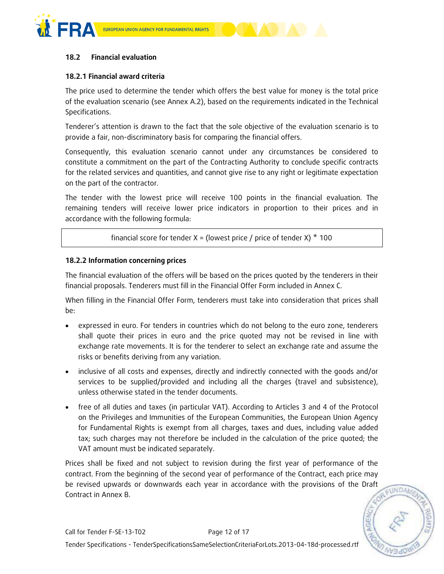



#### **18.2 Financial evaluation**

#### **18.2.1 Financial award criteria**

The price used to determine the tender which offers the best value for money is the total price of the evaluation scenario (see Annex A.2), based on the requirements indicated in the Technical Specifications.

Tenderer's attention is drawn to the fact that the sole objective of the evaluation scenario is to provide a fair, non-discriminatory basis for comparing the financial offers.

Consequently, this evaluation scenario cannot under any circumstances be considered to constitute a commitment on the part of the Contracting Authority to conclude specific contracts for the related services and quantities, and cannot give rise to any right or legitimate expectation on the part of the contractor.

The tender with the lowest price will receive 100 points in the financial evaluation. The remaining tenders will receive lower price indicators in proportion to their prices and in accordance with the following formula:

financial score for tender X = (lowest price / price of tender X)  $*$  100

#### **18.2.2 Information concerning prices**

The financial evaluation of the offers will be based on the prices quoted by the tenderers in their financial proposals. Tenderers must fill in the Financial Offer Form included in Annex C.

When filling in the Financial Offer Form, tenderers must take into consideration that prices shall be:

- expressed in euro. For tenders in countries which do not belong to the euro zone, tenderers shall quote their prices in euro and the price quoted may not be revised in line with exchange rate movements. It is for the tenderer to select an exchange rate and assume the risks or benefits deriving from any variation.
- inclusive of all costs and expenses, directly and indirectly connected with the goods and/or services to be supplied/provided and including all the charges (travel and subsistence), unless otherwise stated in the tender documents.
- free of all duties and taxes (in particular VAT). According to Articles 3 and 4 of the Protocol on the Privileges and Immunities of the European Communities, the European Union Agency for Fundamental Rights is exempt from all charges, taxes and dues, including value added tax; such charges may not therefore be included in the calculation of the price quoted; the VAT amount must be indicated separately.

Prices shall be fixed and not subject to revision during the first year of performance of the contract. From the beginning of the second year of performance of the Contract, each price may be revised upwards or downwards each year in accordance with the provisions of the Draft Contract in Annex B.

**FUNDAM**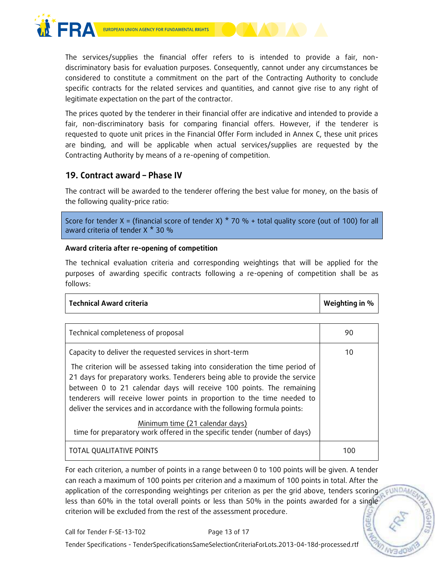



The services/supplies the financial offer refers to is intended to provide a fair, nondiscriminatory basis for evaluation purposes. Consequently, cannot under any circumstances be considered to constitute a commitment on the part of the Contracting Authority to conclude specific contracts for the related services and quantities, and cannot give rise to any right of legitimate expectation on the part of the contractor.

The prices quoted by the tenderer in their financial offer are indicative and intended to provide a fair, non-discriminatory basis for comparing financial offers. However, if the tenderer is requested to quote unit prices in the Financial Offer Form included in Annex C, these unit prices are binding, and will be applicable when actual services/supplies are requested by the Contracting Authority by means of a re-opening of competition.

## **19. Contract award – Phase IV**

The contract will be awarded to the tenderer offering the best value for money, on the basis of the following quality-price ratio:

Score for tender X = (financial score of tender X)  $*$  70 % + total quality score (out of 100) for all award criteria of tender X \* 30 %

## **Award criteria after re-opening of competition**

The technical evaluation criteria and corresponding weightings that will be applied for the purposes of awarding specific contracts following a re-opening of competition shall be as follows:

| <b>Technical Award criteria</b> | Weighting in % |
|---------------------------------|----------------|
|---------------------------------|----------------|

| Technical completeness of proposal                                                                                                                                                                                                                                                                                                                                                                                                                    | 90  |
|-------------------------------------------------------------------------------------------------------------------------------------------------------------------------------------------------------------------------------------------------------------------------------------------------------------------------------------------------------------------------------------------------------------------------------------------------------|-----|
| Capacity to deliver the requested services in short-term<br>The criterion will be assessed taking into consideration the time period of<br>21 days for preparatory works. Tenderers being able to provide the service<br>between 0 to 21 calendar days will receive 100 points. The remaining<br>tenderers will receive lower points in proportion to the time needed to<br>deliver the services and in accordance with the following formula points: | 10  |
| Minimum time (21 calendar days)<br>time for preparatory work offered in the specific tender (number of days)                                                                                                                                                                                                                                                                                                                                          |     |
| TOTAL QUALITATIVE POINTS                                                                                                                                                                                                                                                                                                                                                                                                                              | 100 |

For each criterion, a number of points in a range between 0 to 100 points will be given. A tender can reach a maximum of 100 points per criterion and a maximum of 100 points in total. After the application of the corresponding weightings per criterion as per the grid above, tenders scoring less than 60% in the total overall points or less than 50% in the points awarded for a single criterion will be excluded from the rest of the assessment procedure.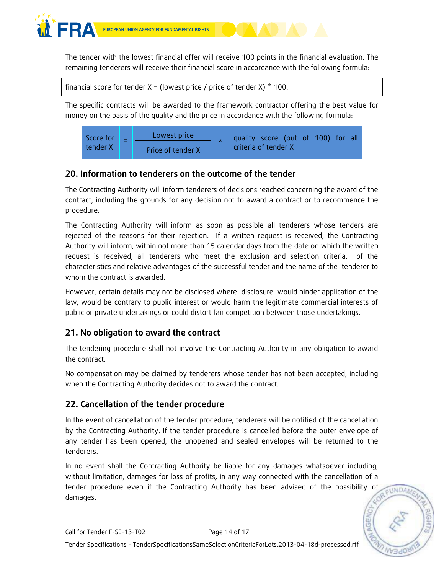

EUROPEAN UNION AGENCY FOR FUNDAMENTAL RIGHTS

The tender with the lowest financial offer will receive 100 points in the financial evaluation. The remaining tenderers will receive their financial score in accordance with the following formula:

```
financial score for tender X = (lowest price / price of tender X) * 100.
```
The specific contracts will be awarded to the framework contractor offering the best value for money on the basis of the quality and the price in accordance with the following formula:



# **20. Information to tenderers on the outcome of the tender**

The Contracting Authority will inform tenderers of decisions reached concerning the award of the contract, including the grounds for any decision not to award a contract or to recommence the procedure.

The Contracting Authority will inform as soon as possible all tenderers whose tenders are rejected of the reasons for their rejection. If a written request is received, the Contracting Authority will inform, within not more than 15 calendar days from the date on which the written request is received, all tenderers who meet the exclusion and selection criteria, of the characteristics and relative advantages of the successful tender and the name of the tenderer to whom the contract is awarded.

However, certain details may not be disclosed where disclosure would hinder application of the law, would be contrary to public interest or would harm the legitimate commercial interests of public or private undertakings or could distort fair competition between those undertakings.

# **21. No obligation to award the contract**

The tendering procedure shall not involve the Contracting Authority in any obligation to award the contract.

No compensation may be claimed by tenderers whose tender has not been accepted, including when the Contracting Authority decides not to award the contract.

## **22. Cancellation of the tender procedure**

In the event of cancellation of the tender procedure, tenderers will be notified of the cancellation by the Contracting Authority. If the tender procedure is cancelled before the outer envelope of any tender has been opened, the unopened and sealed envelopes will be returned to the tenderers.

In no event shall the Contracting Authority be liable for any damages whatsoever including, without limitation, damages for loss of profits, in any way connected with the cancellation of a tender procedure even if the Contracting Authority has been advised of the possibility of damages.

EUNDAM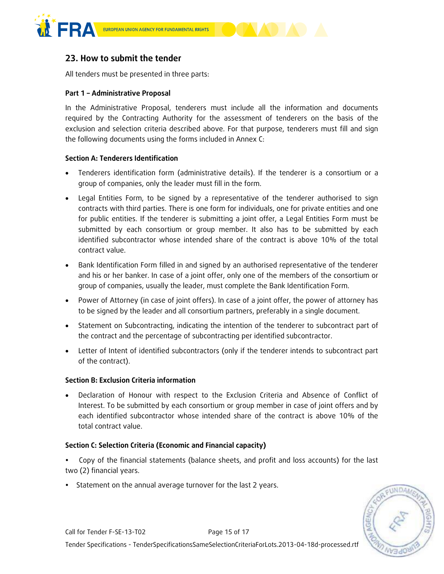



## **23. How to submit the tender**

All tenders must be presented in three parts:

#### **Part 1 – Administrative Proposal**

In the Administrative Proposal, tenderers must include all the information and documents required by the Contracting Authority for the assessment of tenderers on the basis of the exclusion and selection criteria described above. For that purpose, tenderers must fill and sign the following documents using the forms included in Annex C:

#### **Section A: Tenderers Identification**

- Tenderers identification form (administrative details). If the tenderer is a consortium or a group of companies, only the leader must fill in the form.
- Legal Entities Form, to be signed by a representative of the tenderer authorised to sign contracts with third parties. There is one form for individuals, one for private entities and one for public entities. If the tenderer is submitting a joint offer, a Legal Entities Form must be submitted by each consortium or group member. It also has to be submitted by each identified subcontractor whose intended share of the contract is above 10% of the total contract value.
- Bank Identification Form filled in and signed by an authorised representative of the tenderer and his or her banker. In case of a joint offer, only one of the members of the consortium or group of companies, usually the leader, must complete the Bank Identification Form.
- Power of Attorney (in case of joint offers). In case of a joint offer, the power of attorney has to be signed by the leader and all consortium partners, preferably in a single document.
- Statement on Subcontracting, indicating the intention of the tenderer to subcontract part of the contract and the percentage of subcontracting per identified subcontractor.
- Letter of Intent of identified subcontractors (only if the tenderer intends to subcontract part of the contract).

#### **Section B: Exclusion Criteria information**

 Declaration of Honour with respect to the Exclusion Criteria and Absence of Conflict of Interest. To be submitted by each consortium or group member in case of joint offers and by each identified subcontractor whose intended share of the contract is above 10% of the total contract value.

#### **Section C: Selection Criteria (Economic and Financial capacity)**

- Copy of the financial statements (balance sheets, and profit and loss accounts) for the last two (2) financial years.
- Statement on the annual average turnover for the last 2 years.

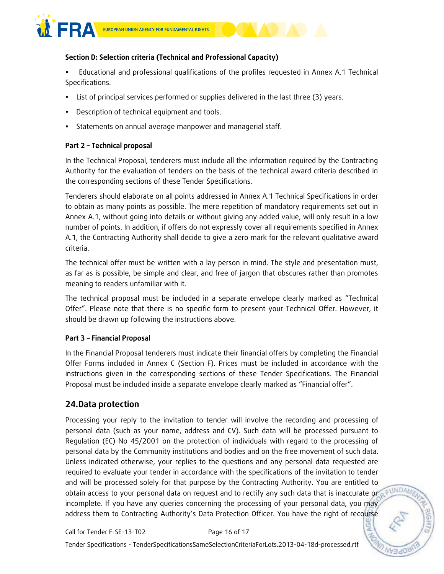

## **Section D: Selection criteria (Technical and Professional Capacity)**

 Educational and professional qualifications of the profiles requested in Annex A.1 Technical Specifications.

- List of principal services performed or supplies delivered in the last three (3) years.
- Description of technical equipment and tools.
- Statements on annual average manpower and managerial staff.

#### **Part 2 – Technical proposal**

In the Technical Proposal, tenderers must include all the information required by the Contracting Authority for the evaluation of tenders on the basis of the technical award criteria described in the corresponding sections of these Tender Specifications.

Tenderers should elaborate on all points addressed in Annex A.1 Technical Specifications in order to obtain as many points as possible. The mere repetition of mandatory requirements set out in Annex A.1, without going into details or without giving any added value, will only result in a low number of points. In addition, if offers do not expressly cover all requirements specified in Annex A.1, the Contracting Authority shall decide to give a zero mark for the relevant qualitative award criteria.

The technical offer must be written with a lay person in mind. The style and presentation must, as far as is possible, be simple and clear, and free of jargon that obscures rather than promotes meaning to readers unfamiliar with it.

The technical proposal must be included in a separate envelope clearly marked as "Technical Offer". Please note that there is no specific form to present your Technical Offer. However, it should be drawn up following the instructions above.

#### **Part 3 – Financial Proposal**

In the Financial Proposal tenderers must indicate their financial offers by completing the Financial Offer Forms included in Annex C (Section F). Prices must be included in accordance with the instructions given in the corresponding sections of these Tender Specifications. The Financial Proposal must be included inside a separate envelope clearly marked as "Financial offer".

## **24.Data protection**

Processing your reply to the invitation to tender will involve the recording and processing of personal data (such as your name, address and CV). Such data will be processed pursuant to Regulation (EC) No 45/2001 on the protection of individuals with regard to the processing of personal data by the Community institutions and bodies and on the free movement of such data. Unless indicated otherwise, your replies to the questions and any personal data requested are required to evaluate your tender in accordance with the specifications of the invitation to tender and will be processed solely for that purpose by the Contracting Authority. You are entitled to FUNDAM obtain access to your personal data on request and to rectify any such data that is inaccurate or incomplete. If you have any queries concerning the processing of your personal data, you may address them to Contracting Authority's Data Protection Officer. You have the right of recourse